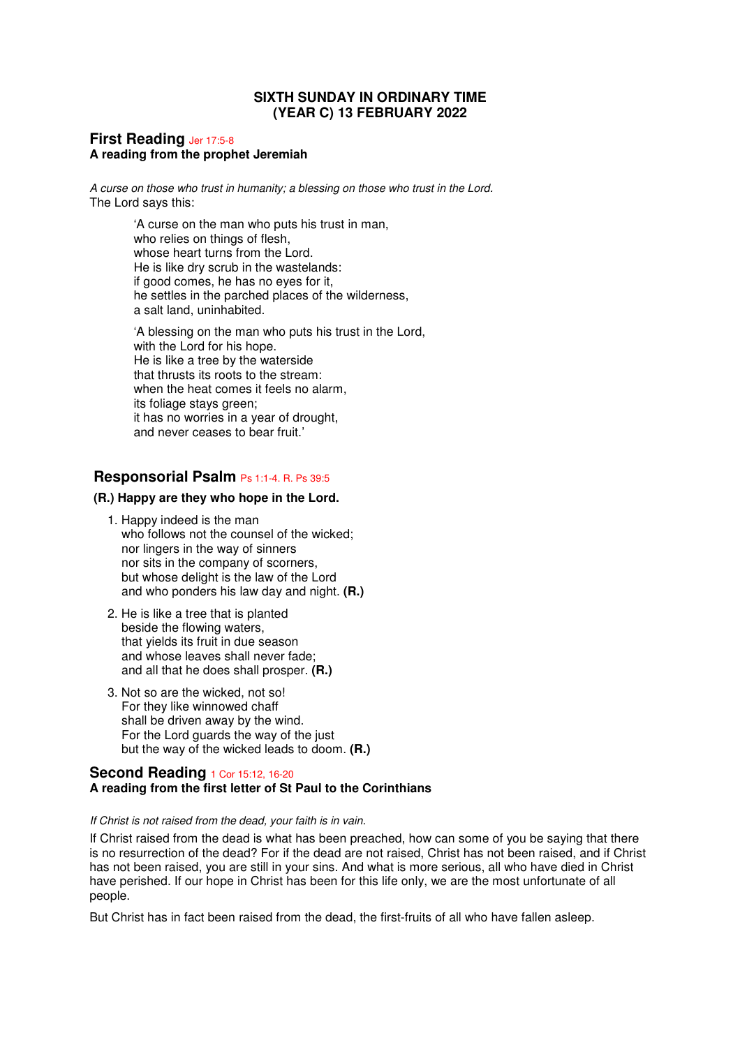# **SIXTH SUNDAY IN ORDINARY TIME (YEAR C) 13 FEBRUARY 2022**

### **First Reading** Jer 17:5-8 **A reading from the prophet Jeremiah**

A curse on those who trust in humanity; a blessing on those who trust in the Lord. The Lord says this:

> 'A curse on the man who puts his trust in man, who relies on things of flesh, whose heart turns from the Lord. He is like dry scrub in the wastelands: if good comes, he has no eyes for it, he settles in the parched places of the wilderness, a salt land, uninhabited.

'A blessing on the man who puts his trust in the Lord, with the Lord for his hope. He is like a tree by the waterside that thrusts its roots to the stream: when the heat comes it feels no alarm, its foliage stays green; it has no worries in a year of drought, and never ceases to bear fruit.'

# **Responsorial Psalm** Ps 1:1-4. R. Ps 39:5

# **(R.) Happy are they who hope in the Lord.**

- 1. Happy indeed is the man who follows not the counsel of the wicked; nor lingers in the way of sinners nor sits in the company of scorners, but whose delight is the law of the Lord and who ponders his law day and night. **(R.)**
- 2. He is like a tree that is planted beside the flowing waters, that yields its fruit in due season and whose leaves shall never fade; and all that he does shall prosper. **(R.)**
- 3. Not so are the wicked, not so! For they like winnowed chaff shall be driven away by the wind. For the Lord guards the way of the just but the way of the wicked leads to doom. **(R.)**

## **Second Reading** 1 Cor 15:12, 16-20 **A reading from the first letter of St Paul to the Corinthians**

#### If Christ is not raised from the dead, your faith is in vain.

If Christ raised from the dead is what has been preached, how can some of you be saying that there is no resurrection of the dead? For if the dead are not raised, Christ has not been raised, and if Christ has not been raised, you are still in your sins. And what is more serious, all who have died in Christ have perished. If our hope in Christ has been for this life only, we are the most unfortunate of all people.

But Christ has in fact been raised from the dead, the first-fruits of all who have fallen asleep.